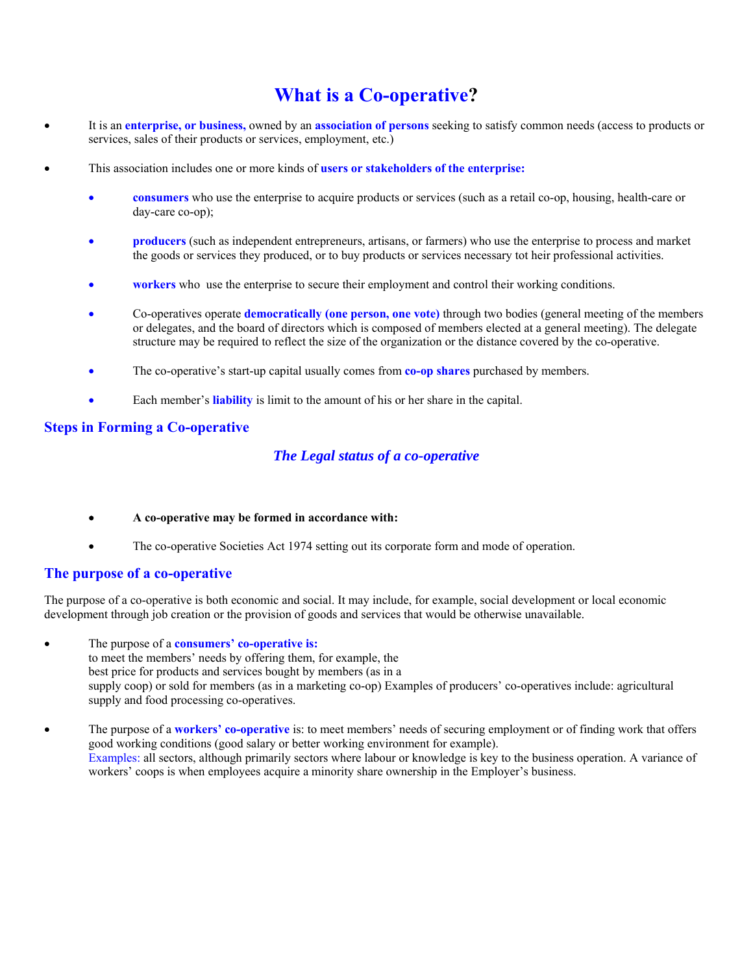# **What is a Co-operative?**

- It is an **enterprise, or business,** owned by an **association of persons** seeking to satisfy common needs (access to products or services, sales of their products or services, employment, etc.)
- This association includes one or more kinds of **users or stakeholders of the enterprise:**
	- **consumers** who use the enterprise to acquire products or services (such as a retail co-op, housing, health-care or day-care co-op);
	- **producers** (such as independent entrepreneurs, artisans, or farmers) who use the enterprise to process and market the goods or services they produced, or to buy products or services necessary tot heir professional activities.
	- **workers** who use the enterprise to secure their employment and control their working conditions.
	- Co-operatives operate **democratically (one person, one vote)** through two bodies (general meeting of the members or delegates, and the board of directors which is composed of members elected at a general meeting). The delegate structure may be required to reflect the size of the organization or the distance covered by the co-operative.
	- The co-operative's start-up capital usually comes from **co-op shares** purchased by members.
	- Each member's **liability** is limit to the amount of his or her share in the capital.

#### **Steps in Forming a Co-operative**

### *The Legal status of a co-operative*

- • **A co-operative may be formed in accordance with:**
- The co-operative Societies Act 1974 setting out its corporate form and mode of operation.

#### **The purpose of a co-operative**

The purpose of a co-operative is both economic and social. It may include, for example, social development or local economic development through job creation or the provision of goods and services that would be otherwise unavailable.

- The purpose of a **consumers' co-operative is:** to meet the members' needs by offering them, for example, the best price for products and services bought by members (as in a supply coop) or sold for members (as in a marketing co-op) Examples of producers' co-operatives include: agricultural supply and food processing co-operatives.
- The purpose of a **workers' co-operative** is: to meet members' needs of securing employment or of finding work that offers good working conditions (good salary or better working environment for example). Examples: all sectors, although primarily sectors where labour or knowledge is key to the business operation. A variance of workers' coops is when employees acquire a minority share ownership in the Employer's business.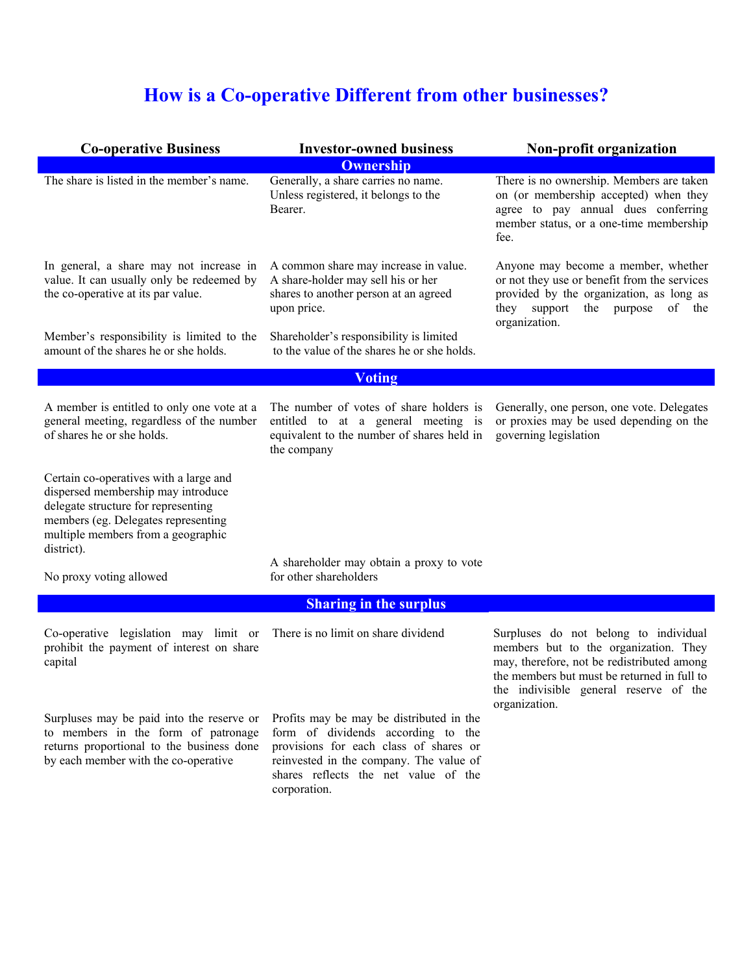# **How is a Co-operative Different from other businesses?**

| <b>Co-operative Business</b>                                                                                                                                                                                   | <b>Investor-owned business</b>                                                                                                                                                                                              | Non-profit organization                                                                                                                                                                                               |  |  |  |  |  |
|----------------------------------------------------------------------------------------------------------------------------------------------------------------------------------------------------------------|-----------------------------------------------------------------------------------------------------------------------------------------------------------------------------------------------------------------------------|-----------------------------------------------------------------------------------------------------------------------------------------------------------------------------------------------------------------------|--|--|--|--|--|
|                                                                                                                                                                                                                | <b>Ownership</b>                                                                                                                                                                                                            |                                                                                                                                                                                                                       |  |  |  |  |  |
| The share is listed in the member's name.                                                                                                                                                                      | Generally, a share carries no name.<br>Unless registered, it belongs to the<br>Bearer.                                                                                                                                      | There is no ownership. Members are taken<br>on (or membership accepted) when they<br>agree to pay annual dues conferring<br>member status, or a one-time membership<br>fee.                                           |  |  |  |  |  |
| In general, a share may not increase in<br>value. It can usually only be redeemed by<br>the co-operative at its par value.                                                                                     | A common share may increase in value.<br>A share-holder may sell his or her<br>shares to another person at an agreed<br>upon price.                                                                                         | Anyone may become a member, whether<br>or not they use or benefit from the services<br>provided by the organization, as long as<br>they support the purpose<br>of the<br>organization.                                |  |  |  |  |  |
| Member's responsibility is limited to the<br>amount of the shares he or she holds.                                                                                                                             | Shareholder's responsibility is limited<br>to the value of the shares he or she holds.                                                                                                                                      |                                                                                                                                                                                                                       |  |  |  |  |  |
| <b>Voting</b>                                                                                                                                                                                                  |                                                                                                                                                                                                                             |                                                                                                                                                                                                                       |  |  |  |  |  |
| A member is entitled to only one vote at a<br>general meeting, regardless of the number                                                                                                                        | The number of votes of share holders is<br>entitled to at a general meeting is                                                                                                                                              | Generally, one person, one vote. Delegates<br>or proxies may be used depending on the                                                                                                                                 |  |  |  |  |  |
| of shares he or she holds.                                                                                                                                                                                     | equivalent to the number of shares held in<br>the company                                                                                                                                                                   | governing legislation                                                                                                                                                                                                 |  |  |  |  |  |
| Certain co-operatives with a large and<br>dispersed membership may introduce<br>delegate structure for representing<br>members (eg. Delegates representing<br>multiple members from a geographic<br>district). |                                                                                                                                                                                                                             |                                                                                                                                                                                                                       |  |  |  |  |  |
| No proxy voting allowed                                                                                                                                                                                        | A shareholder may obtain a proxy to vote<br>for other shareholders                                                                                                                                                          |                                                                                                                                                                                                                       |  |  |  |  |  |
| <b>Sharing in the surplus</b>                                                                                                                                                                                  |                                                                                                                                                                                                                             |                                                                                                                                                                                                                       |  |  |  |  |  |
| Co-operative legislation may limit or<br>prohibit the payment of interest on share<br>capital                                                                                                                  | There is no limit on share dividend                                                                                                                                                                                         | Surpluses do not belong to individual<br>members but to the organization. They<br>may, therefore, not be redistributed among<br>the members but must be returned in full to<br>the indivisible general reserve of the |  |  |  |  |  |
| Surpluses may be paid into the reserve or<br>to members in the form of patronage<br>returns proportional to the business done<br>by each member with the co-operative                                          | Profits may be may be distributed in the<br>form of dividends according to the<br>provisions for each class of shares or<br>reinvested in the company. The value of<br>shares reflects the net value of the<br>corporation. | organization.                                                                                                                                                                                                         |  |  |  |  |  |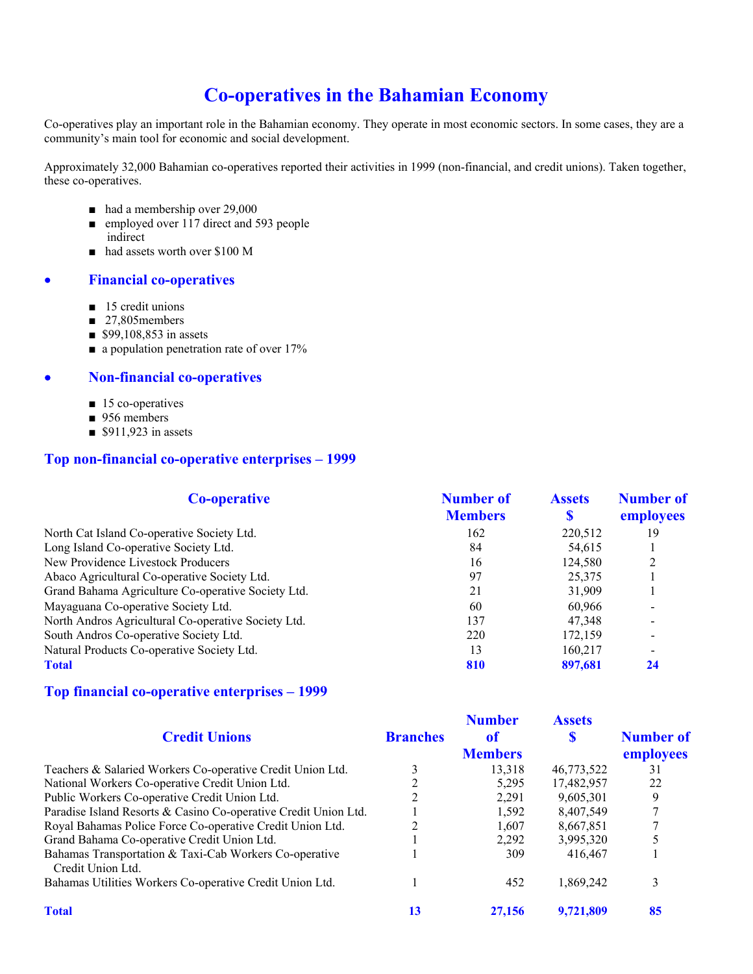# **Co-operatives in the Bahamian Economy**

Co-operatives play an important role in the Bahamian economy. They operate in most economic sectors. In some cases, they are a community's main tool for economic and social development.

Approximately 32,000 Bahamian co-operatives reported their activities in 1999 (non-financial, and credit unions). Taken together, these co-operatives.

- had a membership over 29,000
- employed over 117 direct and 593 people indirect
- had assets worth over \$100 M

#### • **Financial co-operatives**

- 15 credit unions
- 27,805members
- \$99,108,853 in assets
- a population penetration rate of over 17%

#### • **Non-financial co-operatives**

- 15 co-operatives
- 956 members
- \$911,923 in assets

#### **Top non-financial co-operative enterprises – 1999**

| <b>Co-operative</b>                                 | <b>Number of</b><br><b>Members</b> | <b>Assets</b><br>S | <b>Number of</b><br>employees |  |
|-----------------------------------------------------|------------------------------------|--------------------|-------------------------------|--|
| North Cat Island Co-operative Society Ltd.          | 162                                | 220,512            | 19                            |  |
| Long Island Co-operative Society Ltd.               | 84                                 | 54,615             |                               |  |
| New Providence Livestock Producers                  | 16                                 | 124,580            | $\mathfrak{D}$                |  |
| Abaco Agricultural Co-operative Society Ltd.        | 97                                 | 25,375             |                               |  |
| Grand Bahama Agriculture Co-operative Society Ltd.  | 21                                 | 31,909             |                               |  |
| Mayaguana Co-operative Society Ltd.                 | 60                                 | 60,966             |                               |  |
| North Andros Agricultural Co-operative Society Ltd. | 137                                | 47,348             | $\overline{\phantom{a}}$      |  |
| South Andros Co-operative Society Ltd.              | 220                                | 172,159            | $\overline{\phantom{a}}$      |  |
| Natural Products Co-operative Society Ltd.          | 13                                 | 160,217            | $\overline{\phantom{a}}$      |  |
| <b>Total</b>                                        | 810                                | 897,681            | 24                            |  |

#### **Top financial co-operative enterprises – 1999**

| <b>Credit Unions</b>                                                        | <b>Branches</b> | <b>Number</b><br><b>of</b> | <b>Assets</b><br>S | <b>Number of</b> |
|-----------------------------------------------------------------------------|-----------------|----------------------------|--------------------|------------------|
|                                                                             |                 | <b>Members</b>             |                    | employees        |
| Teachers & Salaried Workers Co-operative Credit Union Ltd.                  |                 | 13,318                     | 46,773,522         | 31               |
| National Workers Co-operative Credit Union Ltd.                             |                 | 5,295                      | 17,482,957         | 22               |
| Public Workers Co-operative Credit Union Ltd.                               | 2               | 2.291                      | 9,605,301          | 9                |
| Paradise Island Resorts & Casino Co-operative Credit Union Ltd.             |                 | 1,592                      | 8,407,549          |                  |
| Royal Bahamas Police Force Co-operative Credit Union Ltd.                   |                 | 1,607                      | 8,667,851          |                  |
| Grand Bahama Co-operative Credit Union Ltd.                                 |                 | 2.292                      | 3,995,320          |                  |
| Bahamas Transportation & Taxi-Cab Workers Co-operative<br>Credit Union Ltd. |                 | 309                        | 416,467            |                  |
| Bahamas Utilities Workers Co-operative Credit Union Ltd.                    |                 | 452                        | 1,869,242          | 3                |
| <b>Total</b>                                                                | 13              | 27,156                     | 9,721,809          | 85               |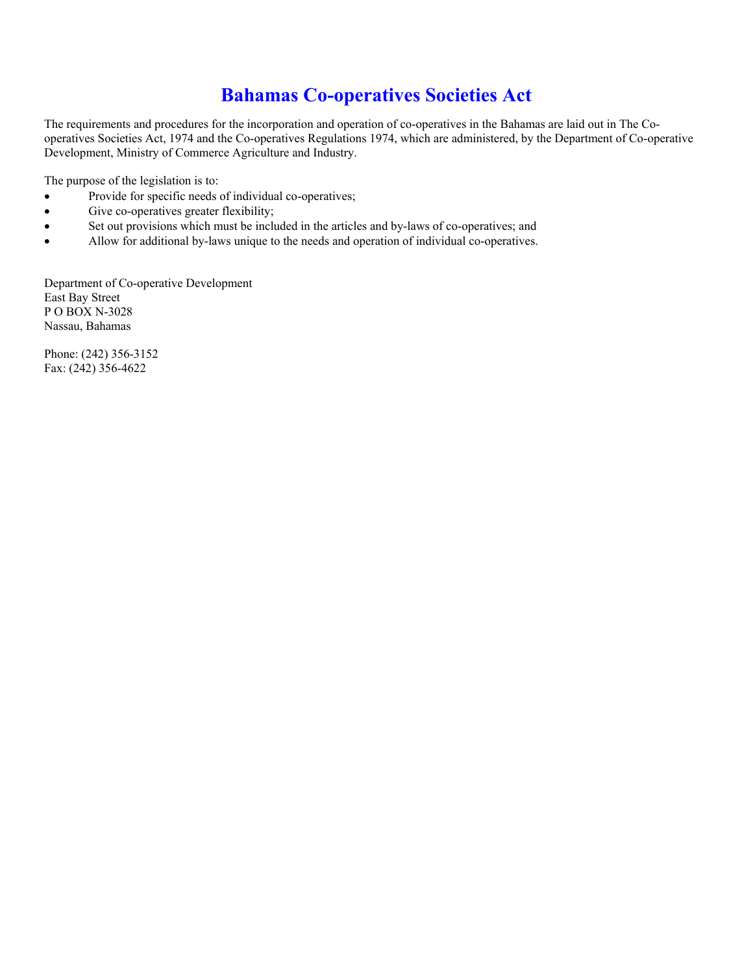# **Bahamas Co-operatives Societies Act**

The requirements and procedures for the incorporation and operation of co-operatives in the Bahamas are laid out in The Cooperatives Societies Act, 1974 and the Co-operatives Regulations 1974, which are administered, by the Department of Co-operative Development, Ministry of Commerce Agriculture and Industry.

The purpose of the legislation is to:

- Provide for specific needs of individual co-operatives;
- Give co-operatives greater flexibility;
- Set out provisions which must be included in the articles and by-laws of co-operatives; and
- Allow for additional by-laws unique to the needs and operation of individual co-operatives.

Department of Co-operative Development East Bay Street P O BOX N-3028 Nassau, Bahamas

Phone: (242) 356-3152 Fax: (242) 356-4622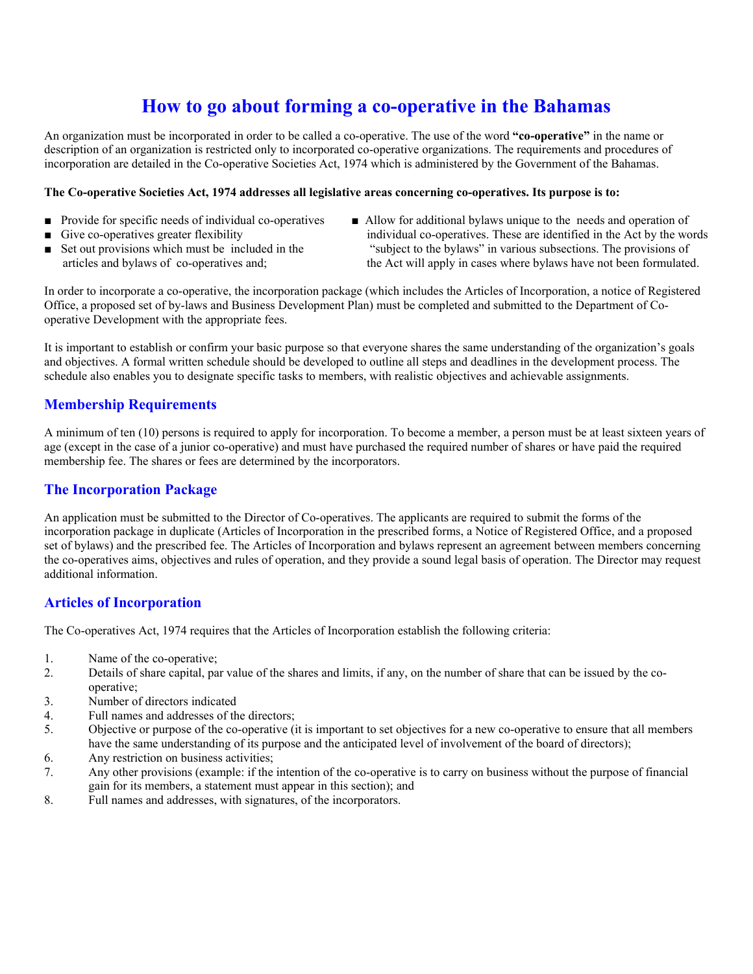# **How to go about forming a co-operative in the Bahamas**

An organization must be incorporated in order to be called a co-operative. The use of the word **"co-operative"** in the name or description of an organization is restricted only to incorporated co-operative organizations. The requirements and procedures of incorporation are detailed in the Co-operative Societies Act, 1974 which is administered by the Government of the Bahamas.

#### **The Co-operative Societies Act, 1974 addresses all legislative areas concerning co-operatives. Its purpose is to:**

- Provide for specific needs of individual co-operatives
- Give co-operatives greater flexibility
- Set out provisions which must be included in the articles and bylaws of co-operatives and;
- Allow for additional bylaws unique to the needs and operation of individual co-operatives. These are identified in the Act by the words "subject to the bylaws" in various subsections. The provisions of the Act will apply in cases where bylaws have not been formulated.

In order to incorporate a co-operative, the incorporation package (which includes the Articles of Incorporation, a notice of Registered Office, a proposed set of by-laws and Business Development Plan) must be completed and submitted to the Department of Cooperative Development with the appropriate fees.

It is important to establish or confirm your basic purpose so that everyone shares the same understanding of the organization's goals and objectives. A formal written schedule should be developed to outline all steps and deadlines in the development process. The schedule also enables you to designate specific tasks to members, with realistic objectives and achievable assignments.

### **Membership Requirements**

A minimum of ten (10) persons is required to apply for incorporation. To become a member, a person must be at least sixteen years of age (except in the case of a junior co-operative) and must have purchased the required number of shares or have paid the required membership fee. The shares or fees are determined by the incorporators.

### **The Incorporation Package**

An application must be submitted to the Director of Co-operatives. The applicants are required to submit the forms of the incorporation package in duplicate (Articles of Incorporation in the prescribed forms, a Notice of Registered Office, and a proposed set of bylaws) and the prescribed fee. The Articles of Incorporation and bylaws represent an agreement between members concerning the co-operatives aims, objectives and rules of operation, and they provide a sound legal basis of operation. The Director may request additional information.

### **Articles of Incorporation**

The Co-operatives Act, 1974 requires that the Articles of Incorporation establish the following criteria:

- 1. Name of the co-operative;
- 2. Details of share capital, par value of the shares and limits, if any, on the number of share that can be issued by the cooperative;
- 3. Number of directors indicated
- 4. Full names and addresses of the directors;
- 5. Objective or purpose of the co-operative (it is important to set objectives for a new co-operative to ensure that all members have the same understanding of its purpose and the anticipated level of involvement of the board of directors);
- 6. Any restriction on business activities;
- 7. Any other provisions (example: if the intention of the co-operative is to carry on business without the purpose of financial gain for its members, a statement must appear in this section); and
- 8. Full names and addresses, with signatures, of the incorporators.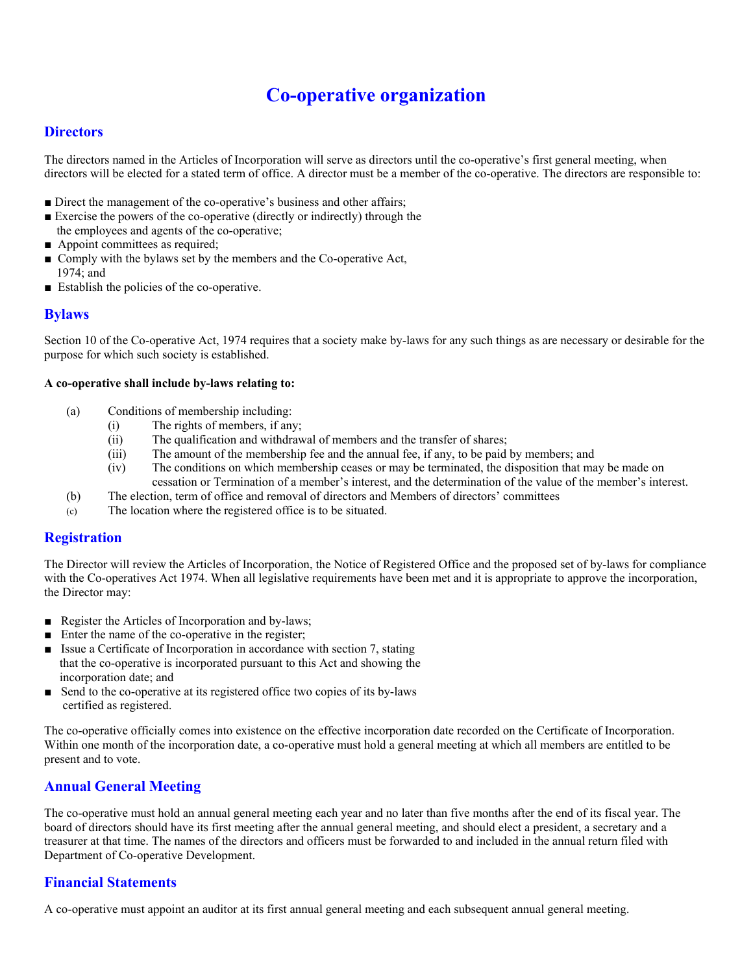# **Co-operative organization**

### **Directors**

The directors named in the Articles of Incorporation will serve as directors until the co-operative's first general meeting, when directors will be elected for a stated term of office. A director must be a member of the co-operative. The directors are responsible to:

- Direct the management of the co-operative's business and other affairs;
- Exercise the powers of the co-operative (directly or indirectly) through the the employees and agents of the co-operative;
- Appoint committees as required;
- Comply with the bylaws set by the members and the Co-operative Act, 1974; and
- Establish the policies of the co-operative.

### **Bylaws**

Section 10 of the Co-operative Act, 1974 requires that a society make by-laws for any such things as are necessary or desirable for the purpose for which such society is established.

#### **A co-operative shall include by-laws relating to:**

- (a) Conditions of membership including:
	- (i) The rights of members, if any;
	- (ii) The qualification and withdrawal of members and the transfer of shares;
	- (iii) The amount of the membership fee and the annual fee, if any, to be paid by members; and
	- (iv) The conditions on which membership ceases or may be terminated, the disposition that may be made on cessation or Termination of a member's interest, and the determination of the value of the member's interest.
- (b) The election, term of office and removal of directors and Members of directors' committees
- (c) The location where the registered office is to be situated.

#### **Registration**

The Director will review the Articles of Incorporation, the Notice of Registered Office and the proposed set of by-laws for compliance with the Co-operatives Act 1974. When all legislative requirements have been met and it is appropriate to approve the incorporation, the Director may:

- Register the Articles of Incorporation and by-laws;
- Enter the name of the co-operative in the register;
- Issue a Certificate of Incorporation in accordance with section 7, stating that the co-operative is incorporated pursuant to this Act and showing the incorporation date; and
- Send to the co-operative at its registered office two copies of its by-laws certified as registered.

The co-operative officially comes into existence on the effective incorporation date recorded on the Certificate of Incorporation. Within one month of the incorporation date, a co-operative must hold a general meeting at which all members are entitled to be present and to vote.

### **Annual General Meeting**

The co-operative must hold an annual general meeting each year and no later than five months after the end of its fiscal year. The board of directors should have its first meeting after the annual general meeting, and should elect a president, a secretary and a treasurer at that time. The names of the directors and officers must be forwarded to and included in the annual return filed with Department of Co-operative Development.

### **Financial Statements**

A co-operative must appoint an auditor at its first annual general meeting and each subsequent annual general meeting.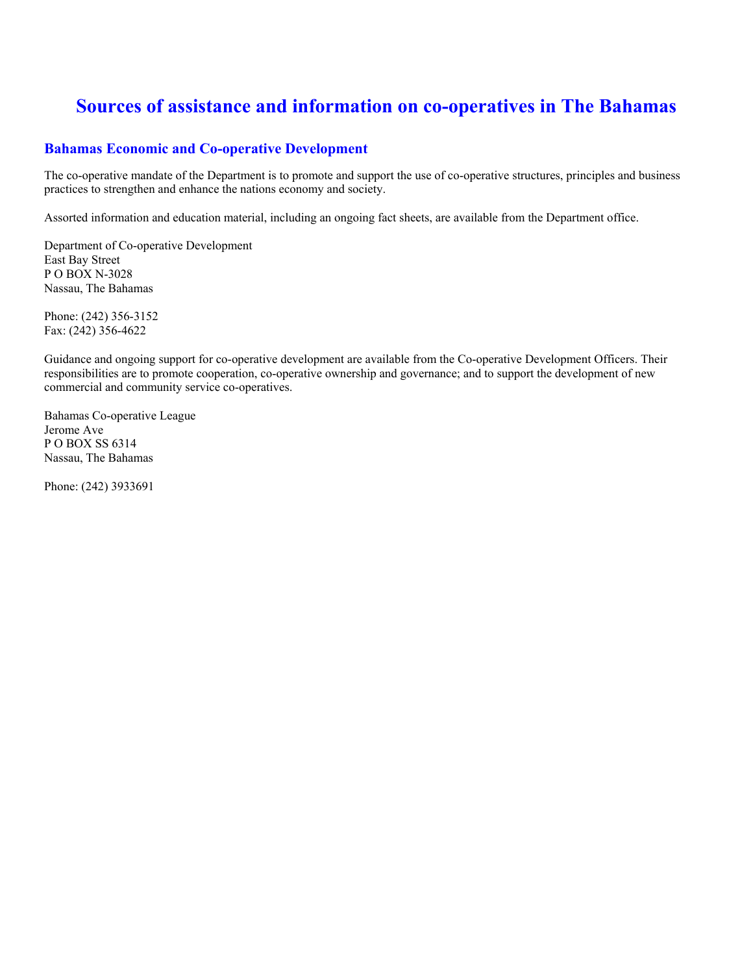# **Sources of assistance and information on co-operatives in The Bahamas**

### **Bahamas Economic and Co-operative Development**

The co-operative mandate of the Department is to promote and support the use of co-operative structures, principles and business practices to strengthen and enhance the nations economy and society.

Assorted information and education material, including an ongoing fact sheets, are available from the Department office.

Department of Co-operative Development East Bay Street P O BOX N-3028 Nassau, The Bahamas

Phone: (242) 356-3152 Fax: (242) 356-4622

Guidance and ongoing support for co-operative development are available from the Co-operative Development Officers. Their responsibilities are to promote cooperation, co-operative ownership and governance; and to support the development of new commercial and community service co-operatives.

Bahamas Co-operative League Jerome Ave P O BOX SS 6314 Nassau, The Bahamas

Phone: (242) 3933691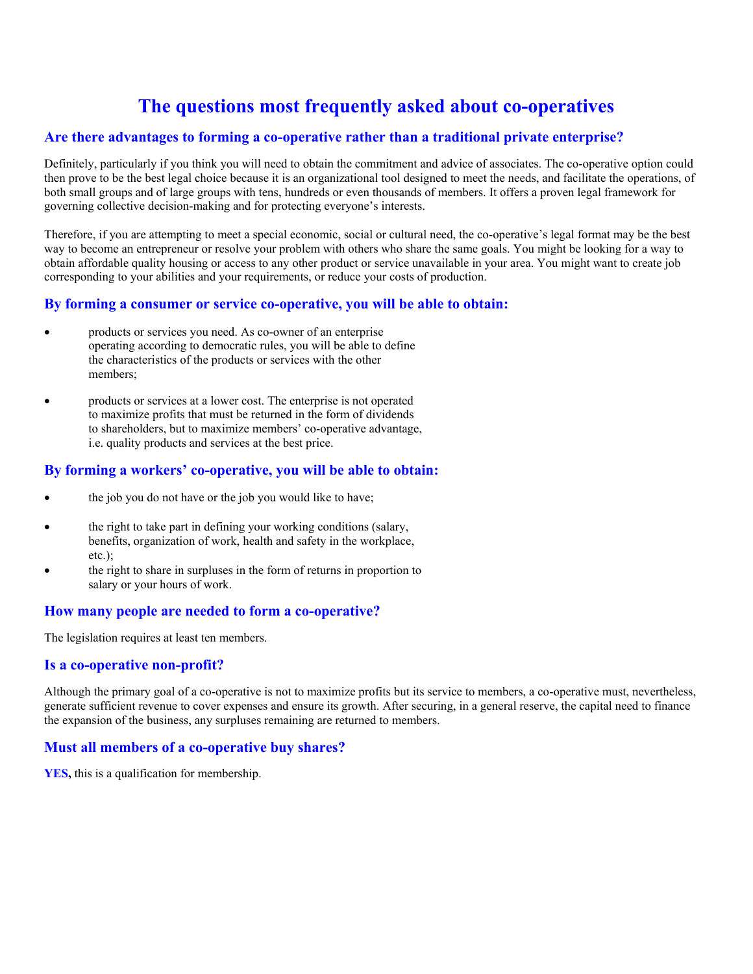# **The questions most frequently asked about co-operatives**

### **Are there advantages to forming a co-operative rather than a traditional private enterprise?**

Definitely, particularly if you think you will need to obtain the commitment and advice of associates. The co-operative option could then prove to be the best legal choice because it is an organizational tool designed to meet the needs, and facilitate the operations, of both small groups and of large groups with tens, hundreds or even thousands of members. It offers a proven legal framework for governing collective decision-making and for protecting everyone's interests.

Therefore, if you are attempting to meet a special economic, social or cultural need, the co-operative's legal format may be the best way to become an entrepreneur or resolve your problem with others who share the same goals. You might be looking for a way to obtain affordable quality housing or access to any other product or service unavailable in your area. You might want to create job corresponding to your abilities and your requirements, or reduce your costs of production.

#### **By forming a consumer or service co-operative, you will be able to obtain:**

- products or services you need. As co-owner of an enterprise operating according to democratic rules, you will be able to define the characteristics of the products or services with the other members;
- products or services at a lower cost. The enterprise is not operated to maximize profits that must be returned in the form of dividends to shareholders, but to maximize members' co-operative advantage, i.e. quality products and services at the best price.

#### **By forming a workers' co-operative, you will be able to obtain:**

- the job you do not have or the job you would like to have;
- the right to take part in defining your working conditions (salary, benefits, organization of work, health and safety in the workplace, etc.);
- the right to share in surpluses in the form of returns in proportion to salary or your hours of work.

#### **How many people are needed to form a co-operative?**

The legislation requires at least ten members.

#### **Is a co-operative non-profit?**

Although the primary goal of a co-operative is not to maximize profits but its service to members, a co-operative must, nevertheless, generate sufficient revenue to cover expenses and ensure its growth. After securing, in a general reserve, the capital need to finance the expansion of the business, any surpluses remaining are returned to members.

#### **Must all members of a co-operative buy shares?**

**YES,** this is a qualification for membership.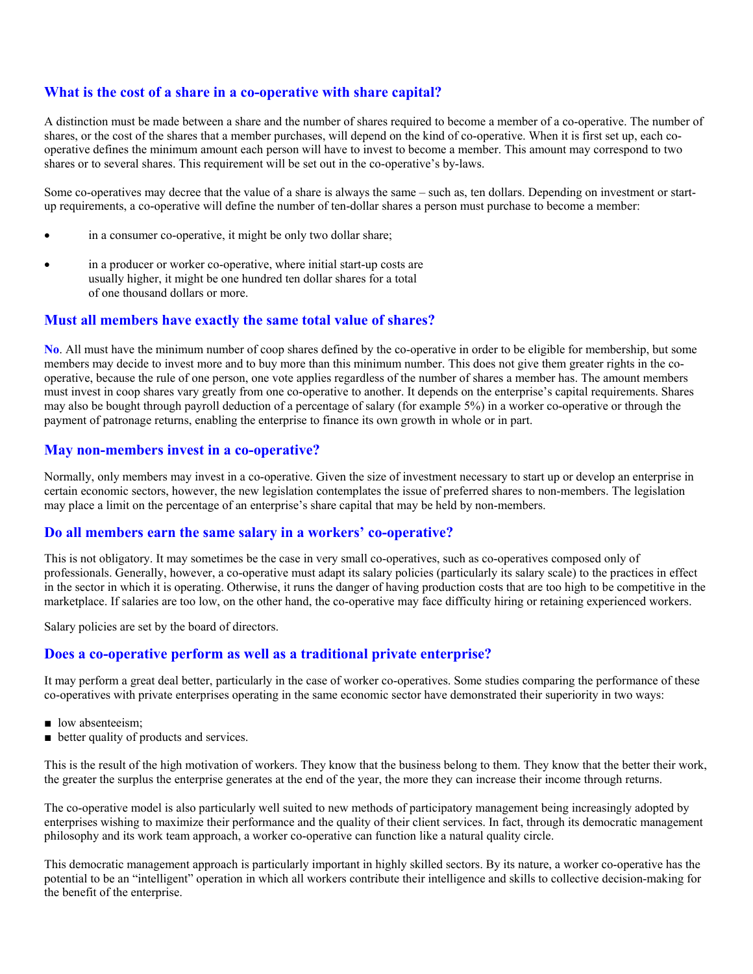### **What is the cost of a share in a co-operative with share capital?**

A distinction must be made between a share and the number of shares required to become a member of a co-operative. The number of shares, or the cost of the shares that a member purchases, will depend on the kind of co-operative. When it is first set up, each cooperative defines the minimum amount each person will have to invest to become a member. This amount may correspond to two shares or to several shares. This requirement will be set out in the co-operative's by-laws.

Some co-operatives may decree that the value of a share is always the same – such as, ten dollars. Depending on investment or startup requirements, a co-operative will define the number of ten-dollar shares a person must purchase to become a member:

- in a consumer co-operative, it might be only two dollar share;
- in a producer or worker co-operative, where initial start-up costs are usually higher, it might be one hundred ten dollar shares for a total of one thousand dollars or more.

#### **Must all members have exactly the same total value of shares?**

**No**. All must have the minimum number of coop shares defined by the co-operative in order to be eligible for membership, but some members may decide to invest more and to buy more than this minimum number. This does not give them greater rights in the cooperative, because the rule of one person, one vote applies regardless of the number of shares a member has. The amount members must invest in coop shares vary greatly from one co-operative to another. It depends on the enterprise's capital requirements. Shares may also be bought through payroll deduction of a percentage of salary (for example 5%) in a worker co-operative or through the payment of patronage returns, enabling the enterprise to finance its own growth in whole or in part.

#### **May non-members invest in a co-operative?**

Normally, only members may invest in a co-operative. Given the size of investment necessary to start up or develop an enterprise in certain economic sectors, however, the new legislation contemplates the issue of preferred shares to non-members. The legislation may place a limit on the percentage of an enterprise's share capital that may be held by non-members.

#### **Do all members earn the same salary in a workers' co-operative?**

This is not obligatory. It may sometimes be the case in very small co-operatives, such as co-operatives composed only of professionals. Generally, however, a co-operative must adapt its salary policies (particularly its salary scale) to the practices in effect in the sector in which it is operating. Otherwise, it runs the danger of having production costs that are too high to be competitive in the marketplace. If salaries are too low, on the other hand, the co-operative may face difficulty hiring or retaining experienced workers.

Salary policies are set by the board of directors.

#### **Does a co-operative perform as well as a traditional private enterprise?**

It may perform a great deal better, particularly in the case of worker co-operatives. Some studies comparing the performance of these co-operatives with private enterprises operating in the same economic sector have demonstrated their superiority in two ways:

- low absenteeism;
- better quality of products and services.

This is the result of the high motivation of workers. They know that the business belong to them. They know that the better their work, the greater the surplus the enterprise generates at the end of the year, the more they can increase their income through returns.

The co-operative model is also particularly well suited to new methods of participatory management being increasingly adopted by enterprises wishing to maximize their performance and the quality of their client services. In fact, through its democratic management philosophy and its work team approach, a worker co-operative can function like a natural quality circle.

This democratic management approach is particularly important in highly skilled sectors. By its nature, a worker co-operative has the potential to be an "intelligent" operation in which all workers contribute their intelligence and skills to collective decision-making for the benefit of the enterprise.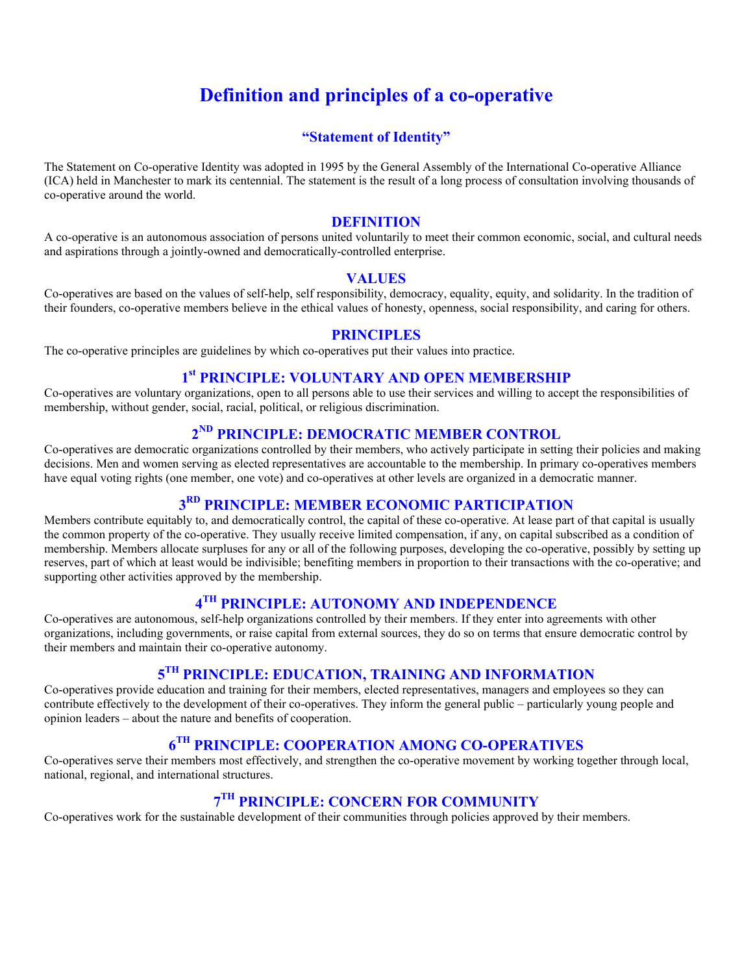# **Definition and principles of a co-operative**

## **"Statement of Identity"**

The Statement on Co-operative Identity was adopted in 1995 by the General Assembly of the International Co-operative Alliance (ICA) held in Manchester to mark its centennial. The statement is the result of a long process of consultation involving thousands of co-operative around the world.

### **DEFINITION**

A co-operative is an autonomous association of persons united voluntarily to meet their common economic, social, and cultural needs and aspirations through a jointly-owned and democratically-controlled enterprise.

#### **VALUES**

Co-operatives are based on the values of self-help, self responsibility, democracy, equality, equity, and solidarity. In the tradition of their founders, co-operative members believe in the ethical values of honesty, openness, social responsibility, and caring for others.

#### **PRINCIPLES**

The co-operative principles are guidelines by which co-operatives put their values into practice.

## **1st PRINCIPLE: VOLUNTARY AND OPEN MEMBERSHIP**

Co-operatives are voluntary organizations, open to all persons able to use their services and willing to accept the responsibilities of membership, without gender, social, racial, political, or religious discrimination.

### **2ND PRINCIPLE: DEMOCRATIC MEMBER CONTROL**

Co-operatives are democratic organizations controlled by their members, who actively participate in setting their policies and making decisions. Men and women serving as elected representatives are accountable to the membership. In primary co-operatives members have equal voting rights (one member, one vote) and co-operatives at other levels are organized in a democratic manner.

# **3RD PRINCIPLE: MEMBER ECONOMIC PARTICIPATION**

Members contribute equitably to, and democratically control, the capital of these co-operative. At lease part of that capital is usually the common property of the co-operative. They usually receive limited compensation, if any, on capital subscribed as a condition of membership. Members allocate surpluses for any or all of the following purposes, developing the co-operative, possibly by setting up reserves, part of which at least would be indivisible; benefiting members in proportion to their transactions with the co-operative; and supporting other activities approved by the membership.

# **4TH PRINCIPLE: AUTONOMY AND INDEPENDENCE**

Co-operatives are autonomous, self-help organizations controlled by their members. If they enter into agreements with other organizations, including governments, or raise capital from external sources, they do so on terms that ensure democratic control by their members and maintain their co-operative autonomy.

# **5TH PRINCIPLE: EDUCATION, TRAINING AND INFORMATION**

Co-operatives provide education and training for their members, elected representatives, managers and employees so they can contribute effectively to the development of their co-operatives. They inform the general public – particularly young people and opinion leaders – about the nature and benefits of cooperation.

# **6TH PRINCIPLE: COOPERATION AMONG CO-OPERATIVES**

Co-operatives serve their members most effectively, and strengthen the co-operative movement by working together through local, national, regional, and international structures.

# **7TH PRINCIPLE: CONCERN FOR COMMUNITY**

Co-operatives work for the sustainable development of their communities through policies approved by their members.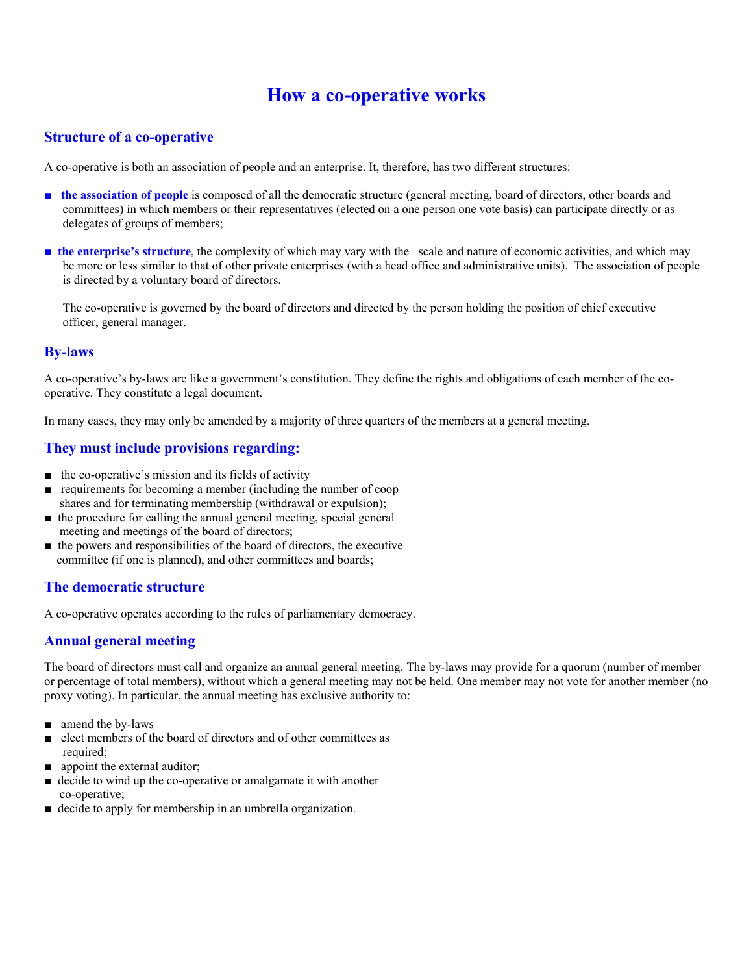# **How a co-operative works**

#### **Structure of a co-operative**

A co-operative is both an association of people and an enterprise. It, therefore, has two different structures:

- **■** the association of people is composed of all the democratic structure (general meeting, board of directors, other boards and committees) in which members or their representatives (elected on a one person one vote basis) can participate directly or as delegates of groups of members;
- **■** the enterprise's structure, the complexity of which may vary with the scale and nature of economic activities, and which may be more or less similar to that of other private enterprises (with a head office and administrative units). The association of people is directed by a voluntary board of directors.

 The co-operative is governed by the board of directors and directed by the person holding the position of chief executive officer, general manager.

#### **By-laws**

A co-operative's by-laws are like a government's constitution. They define the rights and obligations of each member of the cooperative. They constitute a legal document.

In many cases, they may only be amended by a majority of three quarters of the members at a general meeting.

### **They must include provisions regarding:**

- the co-operative's mission and its fields of activity
- requirements for becoming a member (including the number of coop shares and for terminating membership (withdrawal or expulsion);
- the procedure for calling the annual general meeting, special general meeting and meetings of the board of directors;
- the powers and responsibilities of the board of directors, the executive committee (if one is planned), and other committees and boards;

#### **The democratic structure**

A co-operative operates according to the rules of parliamentary democracy.

#### **Annual general meeting**

The board of directors must call and organize an annual general meeting. The by-laws may provide for a quorum (number of member or percentage of total members), without which a general meeting may not be held. One member may not vote for another member (no proxy voting). In particular, the annual meeting has exclusive authority to:

- amend the by-laws
- elect members of the board of directors and of other committees as required;
- appoint the external auditor;
- decide to wind up the co-operative or amalgamate it with another co-operative;
- decide to apply for membership in an umbrella organization.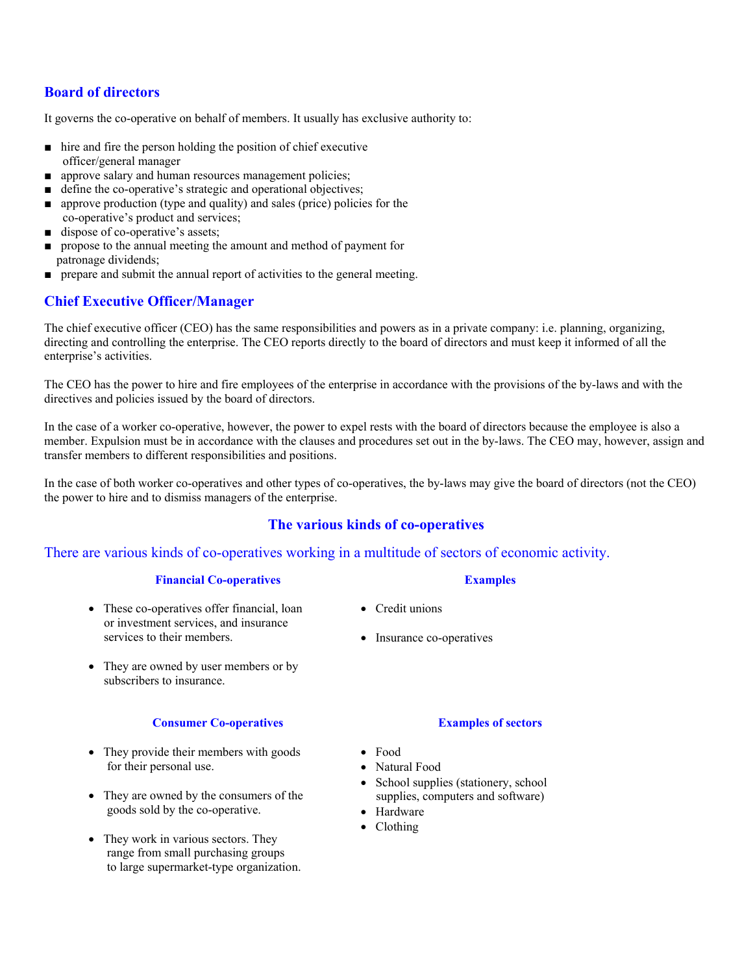# **Board of directors**

It governs the co-operative on behalf of members. It usually has exclusive authority to:

- hire and fire the person holding the position of chief executive officer/general manager
- approve salary and human resources management policies;
- define the co-operative's strategic and operational objectives;
- approve production (type and quality) and sales (price) policies for the co-operative's product and services;
- dispose of co-operative's assets;
- propose to the annual meeting the amount and method of payment for patronage dividends;
- prepare and submit the annual report of activities to the general meeting.

## **Chief Executive Officer/Manager**

The chief executive officer (CEO) has the same responsibilities and powers as in a private company: i.e. planning, organizing, directing and controlling the enterprise. The CEO reports directly to the board of directors and must keep it informed of all the enterprise's activities.

The CEO has the power to hire and fire employees of the enterprise in accordance with the provisions of the by-laws and with the directives and policies issued by the board of directors.

In the case of a worker co-operative, however, the power to expel rests with the board of directors because the employee is also a member. Expulsion must be in accordance with the clauses and procedures set out in the by-laws. The CEO may, however, assign and transfer members to different responsibilities and positions.

In the case of both worker co-operatives and other types of co-operatives, the by-laws may give the board of directors (not the CEO) the power to hire and to dismiss managers of the enterprise.

### **The various kinds of co-operatives**

#### There are various kinds of co-operatives working in a multitude of sectors of economic activity.

#### **Financial Co-operatives**

- These co-operatives offer financial, loan or investment services, and insurance services to their members.
- They are owned by user members or by subscribers to insurance.

#### **Consumer Co-operatives**

- They provide their members with goods for their personal use.
- They are owned by the consumers of the goods sold by the co-operative.
- They work in various sectors. They range from small purchasing groups to large supermarket-type organization.

### **Examples of sectors**

**Examples** 

- Food
- Natural Food

• Credit unions

• Insurance co-operatives

- School supplies (stationery, school supplies, computers and software)
- Hardware
- Clothing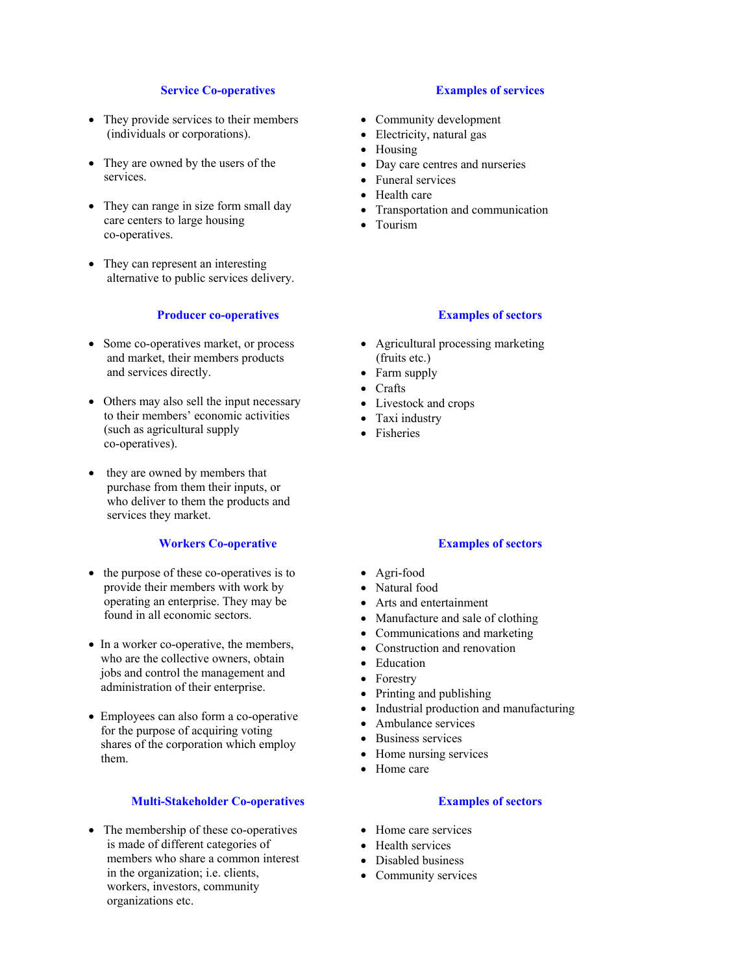#### **Service Co-operatives**

- They provide services to their members (individuals or corporations).
- They are owned by the users of the services.
- They can range in size form small day care centers to large housing co-operatives.
- They can represent an interesting alternative to public services delivery.

#### **Producer co-operatives**

- Some co-operatives market, or process and market, their members products and services directly.
- Others may also sell the input necessary to their members' economic activities (such as agricultural supply co-operatives).
- they are owned by members that purchase from them their inputs, or who deliver to them the products and services they market.

#### **Workers Co-operative**

- the purpose of these co-operatives is to provide their members with work by operating an enterprise. They may be found in all economic sectors.
- In a worker co-operative, the members, who are the collective owners, obtain jobs and control the management and administration of their enterprise.
- Employees can also form a co-operative for the purpose of acquiring voting shares of the corporation which employ them.

#### **Multi-Stakeholder Co-operatives**

• The membership of these co-operatives is made of different categories of members who share a common interest in the organization; i.e. clients, workers, investors, community organizations etc.

#### **Examples of services**

- Community development
- Electricity, natural gas
- Housing
- Day care centres and nurseries
- Funeral services
- Health care
	- Transportation and communication
- Tourism

#### **Examples of sectors**

- Agricultural processing marketing (fruits etc.)
- Farm supply
- Crafts
- Livestock and crops
- Taxi industry
- Fisheries

#### **Examples of sectors**

- Agri-food
- Natural food
- Arts and entertainment
- Manufacture and sale of clothing
- Communications and marketing
- Construction and renovation
- Education
- Forestry
- Printing and publishing
- Industrial production and manufacturing
- Ambulance services
- Business services
- Home nursing services
- Home care

#### **Examples of sectors**

- Home care services
- Health services
- Disabled business
- Community services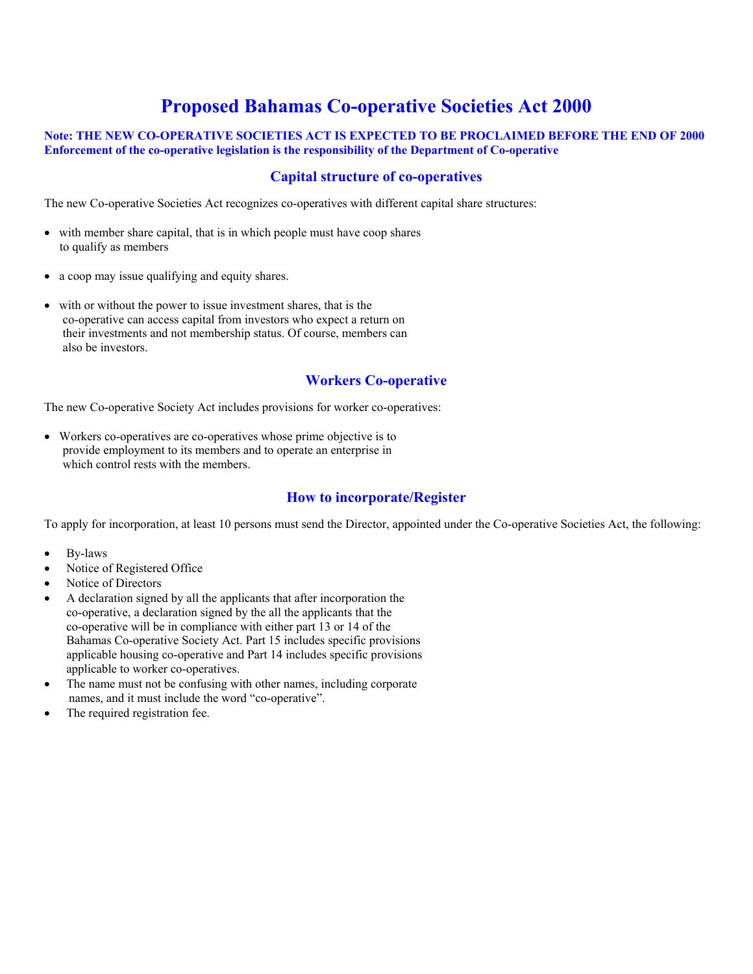# **Proposed Bahamas Co-operative Societies Act 2000**

#### **Note: THE NEW CO-OPERATIVE SOCIETIES ACT IS EXPECTED TO BE PROCLAIMED BEFORE THE END OF 2000 Enforcement of the co-operative legislation is the responsibility of the Department of Co-operative**

### **Capital structure of co-operatives**

The new Co-operative Societies Act recognizes co-operatives with different capital share structures:

- with member share capital, that is in which people must have coop shares to qualify as members
- a coop may issue qualifying and equity shares.
- with or without the power to issue investment shares, that is the co-operative can access capital from investors who expect a return on their investments and not membership status. Of course, members can also be investors.

### **Workers Co-operative**

The new Co-operative Society Act includes provisions for worker co-operatives:

• Workers co-operatives are co-operatives whose prime objective is to provide employment to its members and to operate an enterprise in which control rests with the members.

#### **How to incorporate/Register**

To apply for incorporation, at least 10 persons must send the Director, appointed under the Co-operative Societies Act, the following:

- By-laws
- Notice of Registered Office
- Notice of Directors
- A declaration signed by all the applicants that after incorporation the co-operative, a declaration signed by the all the applicants that the co-operative will be in compliance with either part 13 or 14 of the Bahamas Co-operative Society Act. Part 15 includes specific provisions applicable housing co-operative and Part 14 includes specific provisions applicable to worker co-operatives.
- The name must not be confusing with other names, including corporate names, and it must include the word "co-operative".
- The required registration fee.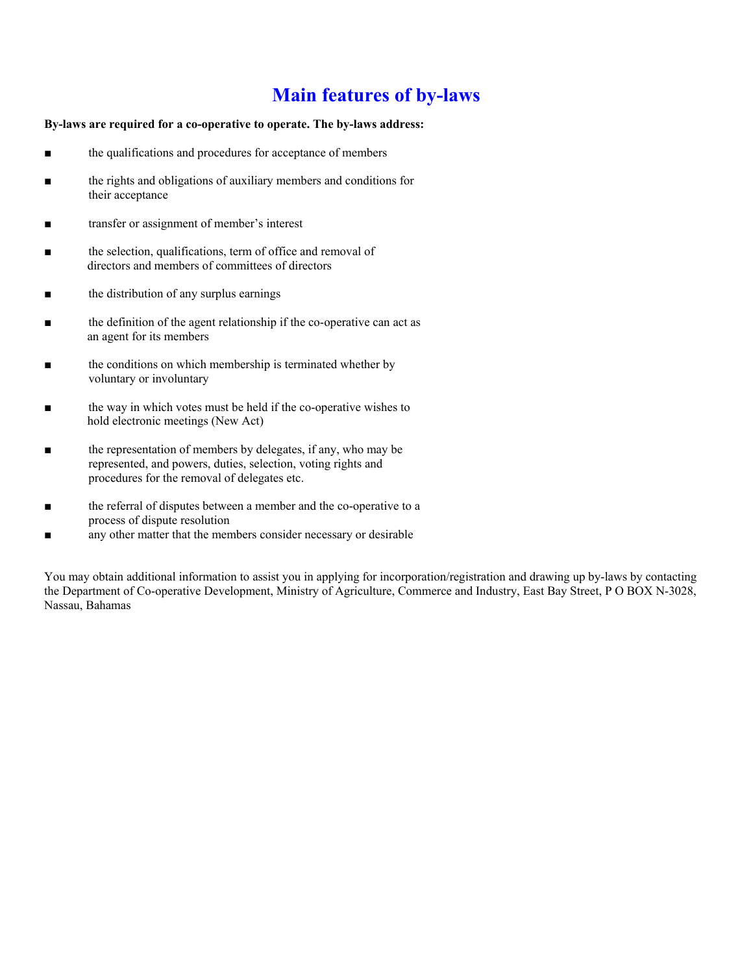# **Main features of by-laws**

#### **By-laws are required for a co-operative to operate. The by-laws address:**

- the qualifications and procedures for acceptance of members
- the rights and obligations of auxiliary members and conditions for their acceptance
- transfer or assignment of member's interest
- the selection, qualifications, term of office and removal of directors and members of committees of directors
- the distribution of any surplus earnings
- the definition of the agent relationship if the co-operative can act as an agent for its members
- the conditions on which membership is terminated whether by voluntary or involuntary
- the way in which votes must be held if the co-operative wishes to hold electronic meetings (New Act)
- the representation of members by delegates, if any, who may be represented, and powers, duties, selection, voting rights and procedures for the removal of delegates etc.
- the referral of disputes between a member and the co-operative to a process of dispute resolution
- any other matter that the members consider necessary or desirable

You may obtain additional information to assist you in applying for incorporation/registration and drawing up by-laws by contacting the Department of Co-operative Development, Ministry of Agriculture, Commerce and Industry, East Bay Street, P O BOX N-3028, Nassau, Bahamas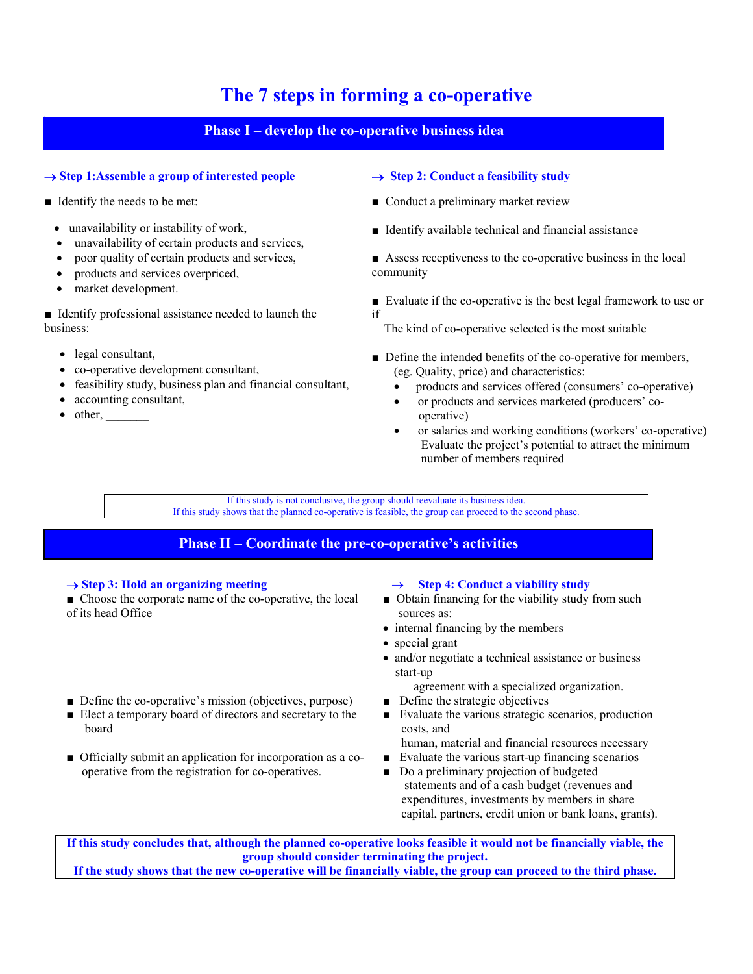# **The 7 steps in forming a co-operative**

### **Phase I – develop the co-operative business idea**

#### → **Step 1:Assemble a group of interested people**

- Identify the needs to be met:
	- unavailability or instability of work,
	- unavailability of certain products and services,
	- poor quality of certain products and services,
	- products and services overpriced,
	- market development.

■ Identify professional assistance needed to launch the business:

- legal consultant.
- co-operative development consultant,
- feasibility study, business plan and financial consultant,
- accounting consultant,
- other,

#### → **Step 2: Conduct a feasibility study**

- Conduct a preliminary market review
- Identify available technical and financial assistance
- Assess receptiveness to the co-operative business in the local community
- Evaluate if the co-operative is the best legal framework to use or if

The kind of co-operative selected is the most suitable

- Define the intended benefits of the co-operative for members, (eg. Quality, price) and characteristics:
	- products and services offered (consumers' co-operative)
	- or products and services marketed (producers' co operative)
	- or salaries and working conditions (workers' co-operative) Evaluate the project's potential to attract the minimum number of members required

If this study is not conclusive, the group should reevaluate its business idea. If this study shows that the planned co-operative is feasible, the group can proceed to the second phase.

# **Phase II – Coordinate the pre-co-operative's activities**

#### → **Step 3: Hold an organizing meeting** → **Step 4: Conduct a viability study**

■ Choose the corporate name of the co-operative, the local of its head Office

- Define the co-operative's mission (objectives, purpose) Define the strategic objectives
- Elect a temporary board of directors and secretary to the board
- Officially submit an application for incorporation as a cooperative from the registration for co-operatives.

- Obtain financing for the viability study from such sources as:
- internal financing by the members
- special grant
- and/or negotiate a technical assistance or business start-up

agreement with a specialized organization.

- 
- Evaluate the various strategic scenarios, production costs, and
	- human, material and financial resources necessary
- Evaluate the various start-up financing scenarios
- Do a preliminary projection of budgeted statements and of a cash budget (revenues and expenditures, investments by members in share capital, partners, credit union or bank loans, grants).

**If this study concludes that, although the planned co-operative looks feasible it would not be financially viable, the group should consider terminating the project.** 

**If the study shows that the new co-operative will be financially viable, the group can proceed to the third phase.**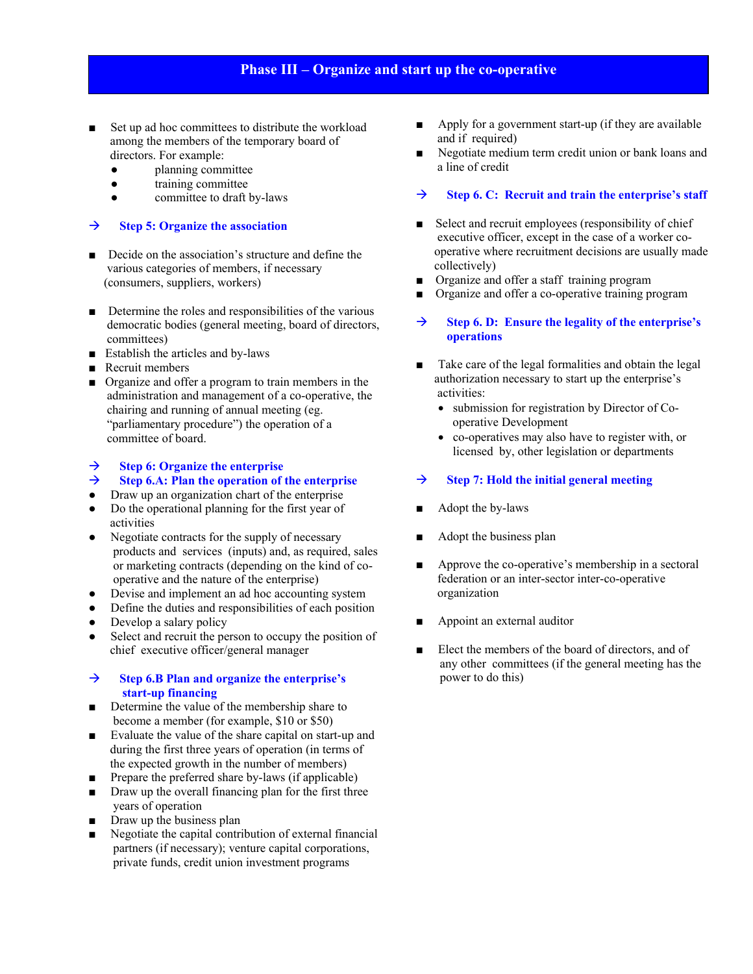#### **Phase III – Organize and start up the co-operative**

- Set up ad hoc committees to distribute the workload among the members of the temporary board of directors. For example:
	- planning committee
	- training committee
	- committee to draft by-laws

#### $\rightarrow$  Step 5: Organize the association

- Decide on the association's structure and define the various categories of members, if necessary (consumers, suppliers, workers)
- Determine the roles and responsibilities of the various democratic bodies (general meeting, board of directors, committees)
- Establish the articles and by-laws
- Recruit members
- Organize and offer a program to train members in the administration and management of a co-operative, the chairing and running of annual meeting (eg. "parliamentary procedure") the operation of a committee of board.

#### $\rightarrow$  **Step 6: Organize the enterprise**

- $\rightarrow$  **Step 6.A: Plan the operation of the enterprise**
- Draw up an organization chart of the enterprise
- Do the operational planning for the first year of activities
- Negotiate contracts for the supply of necessary products and services (inputs) and, as required, sales or marketing contracts (depending on the kind of co operative and the nature of the enterprise)
- Devise and implement an ad hoc accounting system
- Define the duties and responsibilities of each position
- Develop a salary policy
- Select and recruit the person to occupy the position of chief executive officer/general manager

#### $\rightarrow$  **Step 6.B Plan and organize the enterprise's start-up financing**

- Determine the value of the membership share to become a member (for example, \$10 or \$50)
- Evaluate the value of the share capital on start-up and during the first three years of operation (in terms of the expected growth in the number of members)
- Prepare the preferred share by-laws (if applicable)
- Draw up the overall financing plan for the first three years of operation
- Draw up the business plan
- Negotiate the capital contribution of external financial partners (if necessary); venture capital corporations, private funds, credit union investment programs
- Apply for a government start-up (if they are available and if required)
- Negotiate medium term credit union or bank loans and a line of credit
- Æ **Step 6. C: Recruit and train the enterprise's staff**
- Select and recruit employees (responsibility of chief executive officer, except in the case of a worker co operative where recruitment decisions are usually made collectively)
- Organize and offer a staff training program
- Organize and offer a co-operative training program
- Æ **Step 6. D: Ensure the legality of the enterprise's operations**
- Take care of the legal formalities and obtain the legal authorization necessary to start up the enterprise's activities:
	- submission for registration by Director of Cooperative Development
	- co-operatives may also have to register with, or licensed by, other legislation or departments
- $\rightarrow$  **Step 7: Hold the initial general meeting**
- Adopt the by-laws
- Adopt the business plan
- Approve the co-operative's membership in a sectoral federation or an inter-sector inter-co-operative organization
- Appoint an external auditor
- Elect the members of the board of directors, and of any other committees (if the general meeting has the power to do this)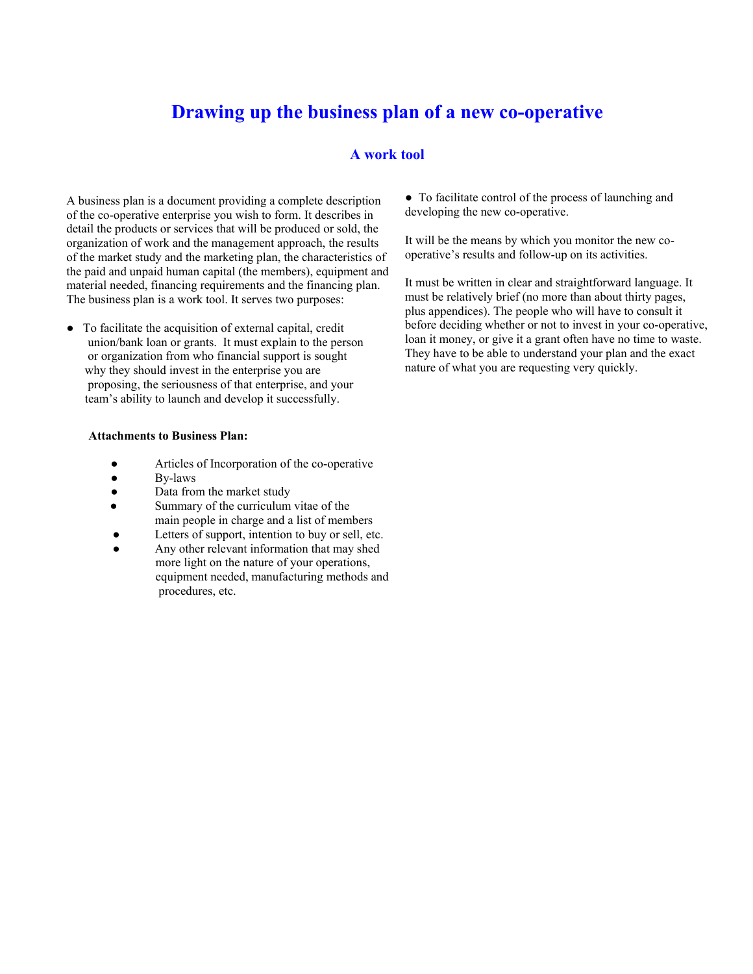# **Drawing up the business plan of a new co-operative**

#### **A work tool**

A business plan is a document providing a complete description of the co-operative enterprise you wish to form. It describes in detail the products or services that will be produced or sold, the organization of work and the management approach, the results of the market study and the marketing plan, the characteristics of the paid and unpaid human capital (the members), equipment and material needed, financing requirements and the financing plan. The business plan is a work tool. It serves two purposes:

● To facilitate the acquisition of external capital, credit union/bank loan or grants. It must explain to the person or organization from who financial support is sought why they should invest in the enterprise you are proposing, the seriousness of that enterprise, and your team's ability to launch and develop it successfully.

#### **Attachments to Business Plan:**

- Articles of Incorporation of the co-operative
- By-laws
- Data from the market study
- Summary of the curriculum vitae of the main people in charge and a list of members
- Letters of support, intention to buy or sell, etc.
- Any other relevant information that may shed more light on the nature of your operations, equipment needed, manufacturing methods and procedures, etc.

● To facilitate control of the process of launching and developing the new co-operative.

It will be the means by which you monitor the new cooperative's results and follow-up on its activities.

It must be written in clear and straightforward language. It must be relatively brief (no more than about thirty pages, plus appendices). The people who will have to consult it before deciding whether or not to invest in your co-operative, loan it money, or give it a grant often have no time to waste. They have to be able to understand your plan and the exact nature of what you are requesting very quickly.